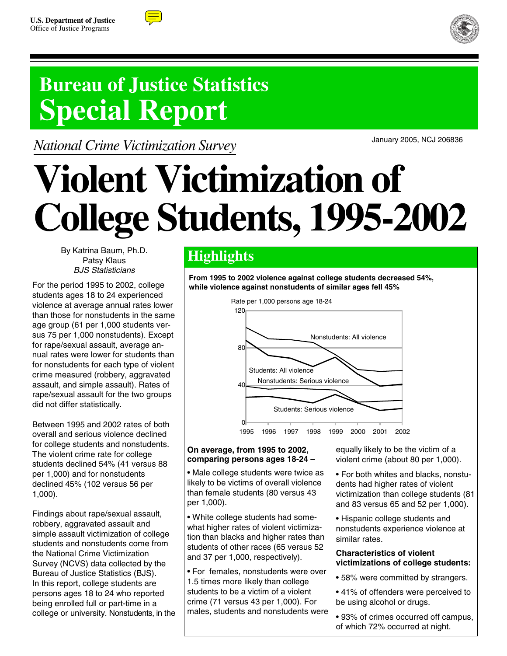



## **Bureau of Justice Statistics Special Report**

*National Crime Victimization Survey*

January 2005, NCJ 206836

# **Violent Victimization of College Students, 1995-2002**

By Katrina Baum, Ph.D. Patsy Klaus BJS Statisticians

For the period 1995 to 2002, college students ages 18 to 24 experienced violence at average annual rates lower than those for nonstudents in the same age group (61 per 1,000 students versus 75 per 1,000 nonstudents). Except for rape/sexual assault, average annual rates were lower for students than for nonstudents for each type of violent crime measured (robbery, aggravated assault, and simple assault). Rates of rape/sexual assault for the two groups did not differ statistically.

Between 1995 and 2002 rates of both overall and serious violence declined for college students and nonstudents. The violent crime rate for college students declined 54% (41 versus 88 per 1,000) and for nonstudents declined 45% (102 versus 56 per 1,000).

Findings about rape/sexual assault, robbery, aggravated assault and simple assault victimization of college students and nonstudents come from the National Crime Victimization Survey (NCVS) data collected by the Bureau of Justice Statistics (BJS). In this report, college students are persons ages 18 to 24 who reported being enrolled full or part-time in a college or university. Nonstudents, in the

### **Highlights**

**From 1995 to 2002 violence against college students decreased 54%, while violence against nonstudents of similar ages fell 45%**



#### **On average, from 1995 to 2002, comparing persons ages 18-24 –**

• Male college students were twice as likely to be victims of overall violence than female students (80 versus 43 per 1,000).

• White college students had somewhat higher rates of violent victimization than blacks and higher rates than students of other races (65 versus 52 and 37 per 1,000, respectively).

• For females, nonstudents were over 1.5 times more likely than college students to be a victim of a violent crime (71 versus 43 per 1,000). For males, students and nonstudents were equally likely to be the victim of a violent crime (about 80 per 1,000).

• For both whites and blacks, nonstudents had higher rates of violent victimization than college students (81 and 83 versus 65 and 52 per 1,000).

• Hispanic college students and nonstudents experience violence at similar rates.

#### **Characteristics of violent victimizations of college students:**

• 58% were committed by strangers.

• 41% of offenders were perceived to be using alcohol or drugs.

• 93% of crimes occurred off campus, of which 72% occurred at night.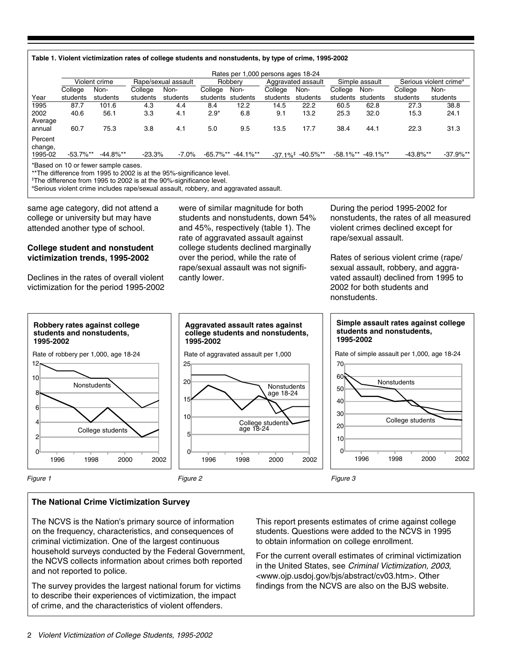|  | Table 1. Violent victimization rates of college students and nonstudents, by type of crime, 1995-2002 |  |
|--|-------------------------------------------------------------------------------------------------------|--|
|  |                                                                                                       |  |

|                    |              | Violent crime |          | Rape/sexual assault |              | Robbery      |          | Aggravated assault                                          |              | Simple assault |              | Serious violent crime <sup>a</sup> |
|--------------------|--------------|---------------|----------|---------------------|--------------|--------------|----------|-------------------------------------------------------------|--------------|----------------|--------------|------------------------------------|
|                    | College      | Non-          | College  | Non-                | College      | Non-         | College  | Non-                                                        | College      | Non-           | College      | Non-                               |
| Year               | students     | students      | students | students            | students     | students     | students | students                                                    | students     | students       | students     | students                           |
| 1995               | 87.7         | 101.6         | 4.3      | 4.4                 | 8.4          | 12.2         | 14.5     | 22.2                                                        | 60.5         | 62.8           | 27.3         | 38.8                               |
| 2002               | 40.6         | 56.1          | 3.3      | 4.1                 | $2.9*$       | 6.8          | 9.1      | 13.2                                                        | 25.3         | 32.0           | 15.3         | 24.1                               |
| Average            |              |               |          |                     |              |              |          |                                                             |              |                |              |                                    |
| annual             | 60.7         | 75.3          | 3.8      | 4.1                 | 5.0          | 9.5          | 13.5     | 17.7                                                        | 38.4         | 44.1           | 22.3         | 31.3                               |
| Percent<br>change, |              |               |          |                     |              |              |          |                                                             |              |                |              |                                    |
| 1995-02            | $-53.7\%$ ** | $-44.8\%$ **  | $-23.3%$ | $-7.0%$             | $-65.7\%$ ** | $-44.1\%$ ** |          | $-37.1\%$ <sup><math>+</math></sup> $-40.5\%$ <sup>**</sup> | $-58.1\%$ ** | $-49.1\%$ **   | $-43.8\%$ ** | $-37.9%$ **                        |

\*\*The difference from 1995 to 2002 is at the 95%-significance level. ‡ The difference from 1995 to 2002 is at the 90%-significance level.

a Serious violent crime includes rape/sexual assault, robbery, and aggravated assault.

same age category, did not attend a college or university but may have attended another type of school.

#### **College student and nonstudent victimization trends, 1995-2002**

Declines in the rates of overall violent victimization for the period 1995-2002 were of similar magnitude for both students and nonstudents, down 54% and 45%, respectively (table 1). The rate of aggravated assault against college students declined marginally over the period, while the rate of rape/sexual assault was not significantly lower.

During the period 1995-2002 for nonstudents, the rates of all measured violent crimes declined except for rape/sexual assault.

Rates of serious violent crime (rape/ sexual assault, robbery, and aggravated assault) declined from 1995 to 2002 for both students and nonstudents.



#### **The National Crime Victimization Survey**

The NCVS is the Nation's primary source of information on the frequency, characteristics, and consequences of criminal victimization. One of the largest continuous household surveys conducted by the Federal Government, the NCVS collects information about crimes both reported and not reported to police.

The survey provides the largest national forum for victims to describe their experiences of victimization, the impact of crime, and the characteristics of violent offenders.

This report presents estimates of crime against college students. Questions were added to the NCVS in 1995 to obtain information on college enrollment.

For the current overall estimates of criminal victimization in the United States, see Criminal Victimization, 2003, <www.ojp.usdoj.gov/bjs/abstract/cv03.htm>. Other findings from the NCVS are also on the BJS website.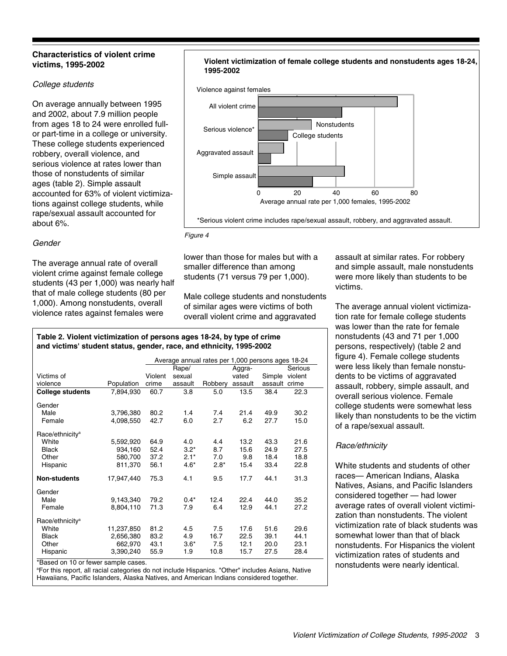#### **Characteristics of violent crime victims, 1995-2002**

#### College students

On average annually between 1995 and 2002, about 7.9 million people from ages 18 to 24 were enrolled fullor part-time in a college or university. These college students experienced robbery, overall violence, and serious violence at rates lower than those of nonstudents of similar ages (table 2). Simple assault accounted for 63% of violent victimizations against college students, while rape/sexual assault accounted for about 6%.

#### Gender

The average annual rate of overall violent crime against female college students (43 per 1,000) was nearly half that of male college students (80 per 1,000). Among nonstudents, overall violence rates against females were

#### **Violent victimization of female college students and nonstudents ages 18-24, 1995-2002**



#### Figure 4

lower than those for males but with a smaller difference than among students (71 versus 79 per 1,000).

Male college students and nonstudents of similar ages were victims of both overall violent crime and aggravated

assault at similar rates. For robbery and simple assault, male nonstudents were more likely than students to be victims.

The average annual violent victimization rate for female college students was lower than the rate for female nonstudents (43 and 71 per 1,000 persons, respectively) (table 2 and figure 4). Female college students were less likely than female nonstudents to be victims of aggravated assault, robbery, simple assault, and overall serious violence. Female college students were somewhat less likely than nonstudents to be the victim of a rape/sexual assault.

#### Race/ethnicity

White students and students of other races— American Indians, Alaska Natives, Asians, and Pacific Islanders considered together — had lower average rates of overall violent victimization than nonstudents. The violent victimization rate of black students was somewhat lower than that of black nonstudents. For Hispanics the violent victimization rates of students and nonstudents were nearly identical.

#### **Table 2. Violent victimization of persons ages 18-24, by type of crime and victims' student status, gender, race, and ethnicity, 1995-2002**

|                                          |            | Average annual rates per 1,000 persons ages 18-24 |         |         |         |               |         |
|------------------------------------------|------------|---------------------------------------------------|---------|---------|---------|---------------|---------|
|                                          |            |                                                   | Rape/   |         | Aggra-  |               | Serious |
| Victims of                               |            | Violent                                           | sexual  |         | vated   | Simple        | violent |
| violence                                 | Population | crime                                             | assault | Robbery | assault | assault crime |         |
| <b>College students</b>                  | 7,894,930  | 60.7                                              | 3.8     | 5.0     | 13.5    | 38.4          | 22.3    |
| Gender                                   |            |                                                   |         |         |         |               |         |
| Male                                     | 3,796,380  | 80.2                                              | 1.4     | 7.4     | 21.4    | 49.9          | 30.2    |
| Female                                   | 4,098,550  | 42.7                                              | 6.0     | 2.7     | 6.2     | 27.7          | 15.0    |
| Race/ethnicity <sup>a</sup>              |            |                                                   |         |         |         |               |         |
| White                                    | 5,592,920  | 64.9                                              | 4.0     | 4.4     | 13.2    | 43.3          | 21.6    |
| <b>Black</b>                             | 934,160    | 52.4                                              | $3.2*$  | 8.7     | 15.6    | 24.9          | 27.5    |
| Other                                    | 580,700    | 37.2                                              | $2.1*$  | 7.0     | 9.8     | 18.4          | 18.8    |
| Hispanic                                 | 811,370    | 56.1                                              | $4.6*$  | $2.8*$  | 15.4    | 33.4          | 22.8    |
| <b>Non-students</b>                      | 17,947,440 | 75.3                                              | 4.1     | 9.5     | 17.7    | 44.1          | 31.3    |
| Gender                                   |            |                                                   |         |         |         |               |         |
| Male                                     | 9,143,340  | 79.2                                              | $0.4*$  | 12.4    | 22.4    | 44.0          | 35.2    |
| Female                                   | 8,804,110  | 71.3                                              | 7.9     | 6.4     | 12.9    | 44.1          | 27.2    |
| Race/ethnicity <sup>a</sup>              |            |                                                   |         |         |         |               |         |
| White                                    | 11,237,850 | 81.2                                              | 4.5     | 7.5     | 17.6    | 51.6          | 29.6    |
| <b>Black</b>                             | 2,656,380  | 83.2                                              | 4.9     | 16.7    | 22.5    | 39.1          | 44.1    |
| Other                                    | 662,970    | 43.1                                              | $3.6*$  | 7.5     | 12.1    | 20.0          | 23.1    |
| Hispanic                                 | 3,390,240  | 55.9                                              | 1.9     | 10.8    | 15.7    | 27.5          | 28.4    |
| * Peacod an $10$ ar faular sample assess |            |                                                   |         |         |         |               |         |

Based on 10 or fewer sample cases.

a For this report, all racial categories do not include Hispanics. "Other" includes Asians, Native Hawaiians, Pacific Islanders, Alaska Natives, and American Indians considered together.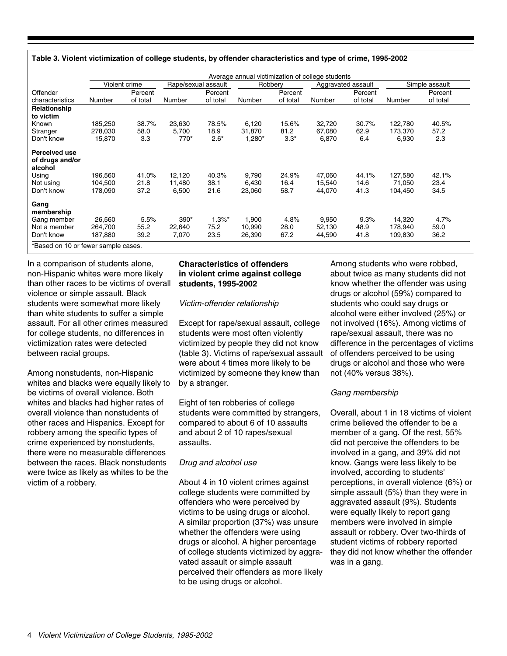| Table 3. Violent victimization of college students, by offender characteristics and type of crime, 1995-2002 |  |  |
|--------------------------------------------------------------------------------------------------------------|--|--|
|--------------------------------------------------------------------------------------------------------------|--|--|

|                                                             |         | Violent crime | Rape/sexual assault |           | Robberv |          |        | Aggravated assault |         | Simple assault |
|-------------------------------------------------------------|---------|---------------|---------------------|-----------|---------|----------|--------|--------------------|---------|----------------|
| Offender                                                    |         | Percent       |                     | Percent   |         | Percent  |        | Percent            |         | Percent        |
| characteristics                                             | Number  | of total      | Number              | of total  | Number  | of total | Number | of total           | Number  | of total       |
| Relationship<br>to victim                                   |         |               |                     |           |         |          |        |                    |         |                |
| Known                                                       | 185,250 | 38.7%         | 23,630              | 78.5%     | 6,120   | 15.6%    | 32,720 | 30.7%              | 122,780 | 40.5%          |
| Stranger                                                    | 278,030 | 58.0          | 5,700               | 18.9      | 31,870  | 81.2     | 67,080 | 62.9               | 173,370 | 57.2           |
| Don't know                                                  | 15,870  | 3.3           | 770*                | $2.6*$    | 1,280*  | $3.3*$   | 6,870  | 6.4                | 6,930   | 2.3            |
| <b>Perceived use</b><br>of drugs and/or<br>alcohol<br>Using | 196,560 | 41.0%         | 12,120              | 40.3%     | 9,790   | 24.9%    | 47,060 | 44.1%              | 127,580 | 42.1%          |
| Not using                                                   | 104,500 | 21.8          | 11,480              | 38.1      | 6,430   | 16.4     | 15,540 | 14.6               | 71,050  | 23.4           |
| Don't know                                                  | 178,090 | 37.2          | 6,500               | 21.6      | 23,060  | 58.7     | 44,070 | 41.3               | 104,450 | 34.5           |
| Gang<br>membership                                          |         |               |                     |           |         |          |        |                    |         |                |
| Gang member                                                 | 26,560  | 5.5%          | $390*$              | $1.3\%$ * | 1,900   | 4.8%     | 9,950  | 9.3%               | 14,320  | 4.7%           |
| Not a member                                                | 264,700 | 55.2          | 22,640              | 75.2      | 10,990  | 28.0     | 52,130 | 48.9               | 178,940 | 59.0           |
| Don't know                                                  | 187,880 | 39.2          | 7,070               | 23.5      | 26,390  | 67.2     | 44,590 | 41.8               | 109,830 | 36.2           |

In a comparison of students alone, non-Hispanic whites were more likely than other races to be victims of overall violence or simple assault. Black students were somewhat more likely than white students to suffer a simple assault. For all other crimes measured for college students, no differences in victimization rates were detected between racial groups.

Among nonstudents, non-Hispanic whites and blacks were equally likely to be victims of overall violence. Both whites and blacks had higher rates of overall violence than nonstudents of other races and Hispanics. Except for robbery among the specific types of crime experienced by nonstudents, there were no measurable differences between the races. Black nonstudents were twice as likely as whites to be the victim of a robbery.

#### **Characteristics of offenders in violent crime against college students, 1995-2002**

Victim-offender relationship

Except for rape/sexual assault, college students were most often violently victimized by people they did not know (table 3). Victims of rape/sexual assault were about 4 times more likely to be victimized by someone they knew than by a stranger.

Eight of ten robberies of college students were committed by strangers, compared to about 6 of 10 assaults and about 2 of 10 rapes/sexual assaults.

#### Drug and alcohol use

About 4 in 10 violent crimes against college students were committed by offenders who were perceived by victims to be using drugs or alcohol. A similar proportion (37%) was unsure whether the offenders were using drugs or alcohol. A higher percentage of college students victimized by aggravated assault or simple assault perceived their offenders as more likely to be using drugs or alcohol.

Among students who were robbed, about twice as many students did not know whether the offender was using drugs or alcohol (59%) compared to students who could say drugs or alcohol were either involved (25%) or not involved (16%). Among victims of rape/sexual assault, there was no difference in the percentages of victims of offenders perceived to be using drugs or alcohol and those who were not (40% versus 38%).

#### Gang membership

Overall, about 1 in 18 victims of violent crime believed the offender to be a member of a gang. Of the rest, 55% did not perceive the offenders to be involved in a gang, and 39% did not know. Gangs were less likely to be involved, according to students' perceptions, in overall violence (6%) or simple assault (5%) than they were in aggravated assault (9%). Students were equally likely to report gang members were involved in simple assault or robbery. Over two-thirds of student victims of robbery reported they did not know whether the offender was in a gang.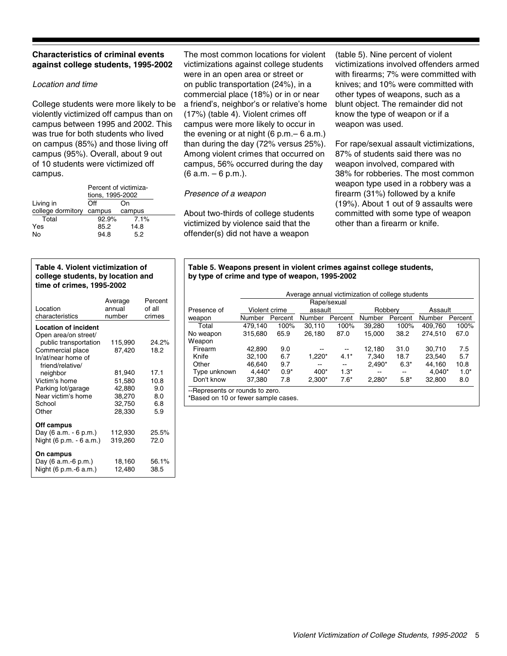#### **Characteristics of criminal events against college students, 1995-2002**

#### Location and time

College students were more likely to be violently victimized off campus than on campus between 1995 and 2002. This was true for both students who lived on campus (85%) and those living off campus (95%). Overall, about 9 out of 10 students were victimized off campus.

|                   | Percent of victimiza-<br>tions, 1995-2002 |        |  |
|-------------------|-------------------------------------------|--------|--|
| Living in         | Off                                       | On     |  |
| college dormitory | campus                                    | campus |  |
| Total             | 92.9%                                     | 7.1%   |  |
| Yes               | 85.2                                      | 14.8   |  |
| N٥                | 94.8                                      | 5.2    |  |

#### **Table 4. Violent victimization of college students, by location and time of crimes, 1995-2002**

| Location<br>characteristics                         | Average<br>annual<br>number | Percent<br>of all<br>crimes |
|-----------------------------------------------------|-----------------------------|-----------------------------|
| <b>Location of incident</b><br>Open area/on street/ |                             |                             |
| public transportation                               | 115,990                     | 24.2%                       |
| Commercial place                                    | 87,420                      | 18.2                        |
| In/at/near home of<br>friend/relative/              |                             |                             |
| neighbor                                            | 81,940                      | 17.1                        |
| Victim's home                                       | 51,580                      | 10.8                        |
| Parking lot/garage                                  | 42,880                      | 9.0                         |
| Near victim's home                                  | 38,270                      | 8.0                         |
| School                                              | 32,750                      | 6.8                         |
| Other                                               | 28,330                      | 5.9                         |
| Off campus                                          |                             |                             |
| Day (6 a.m. - 6 p.m.)                               | 112,930                     | 25.5%                       |
| Night (6 p.m. - 6 a.m.)                             | 319,260                     | 72.0                        |
| On campus<br>Day (6 a.m.-6 p.m.)                    | 18,160                      | 56.1%                       |
| Night (6 p.m.-6 a.m.)                               | 12,480                      | 38.5                        |

The most common locations for violent victimizations against college students were in an open area or street or on public transportation (24%), in a commercial place (18%) or in or near a friend's, neighbor's or relative's home (17%) (table 4). Violent crimes off campus were more likely to occur in the evening or at night (6 p.m.– 6 a.m.) than during the day (72% versus 25%). Among violent crimes that occurred on campus, 56% occurred during the day (6 a.m. – 6 p.m.).

#### Presence of a weapon

About two-thirds of college students victimized by violence said that the offender(s) did not have a weapon

(table 5). Nine percent of violent victimizations involved offenders armed with firearms; 7% were committed with knives; and 10% were committed with other types of weapons, such as a blunt object. The remainder did not know the type of weapon or if a weapon was used.

For rape/sexual assault victimizations, 87% of students said there was no weapon involved, compared with 38% for robberies. The most common weapon type used in a robbery was a firearm (31%) followed by a knife (19%). About 1 out of 9 assaults were committed with some type of weapon other than a firearm or knife.

#### **Table 5. Weapons present in violent crimes against college students, by type of crime and type of weapon, 1995-2002**

|                                 |               |         |          | Rape/sexual              |          |         |          |         |
|---------------------------------|---------------|---------|----------|--------------------------|----------|---------|----------|---------|
| Presence of                     | Violent crime |         | assault  |                          | Robbery  |         | Assault  |         |
| weapon                          | Number        | Percent | Number   | Percent                  | Number   | Percent | Number   | Percent |
| Total                           | 479.140       | 100%    | 30.110   | 100%                     | 39.280   | 100%    | 409.760  | 100%    |
| No weapon                       | 315.680       | 65.9    | 26,180   | 87.0                     | 15.000   | 38.2    | 274.510  | 67.0    |
| Weapon                          |               |         |          |                          |          |         |          |         |
| Firearm                         | 42.890        | 9.0     |          |                          | 12,180   | 31.0    | 30.710   | 7.5     |
| Knife                           | 32.100        | 6.7     | 1,220*   | $4.1*$                   | 7.340    | 18.7    | 23.540   | 5.7     |
| Other                           | 46.640        | 9.7     | --       | $\overline{\phantom{m}}$ | $2.490*$ | $6.3*$  | 44.160   | 10.8    |
| Type unknown                    | $4.440*$      | $0.9*$  | $400*$   | $1.3*$                   | --       | $- -$   | $4.040*$ | $1.0*$  |
| Don't know                      | 37.380        | 7.8     | $2.300*$ | $7.6*$                   | $2,280*$ | $5.8*$  | 32,800   | 8.0     |
| --Represents or rounds to zero. |               |         |          |                          |          |         |          |         |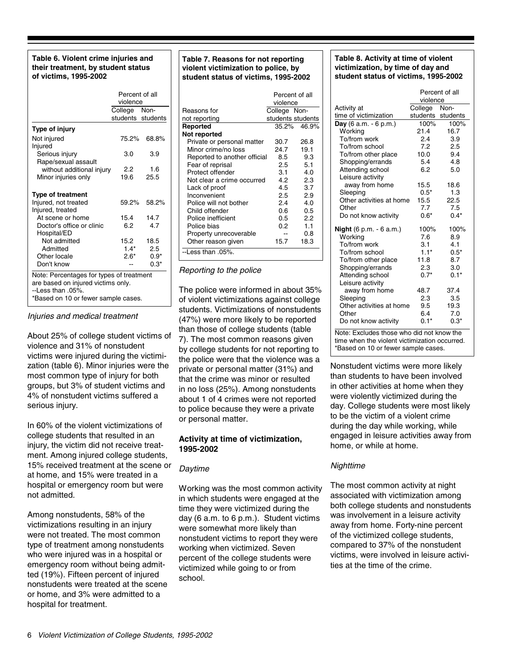#### **Table 6. Violent crime injuries and their treatment, by student status of victims, 1995-2002**

|                                                                                                                                                  | Percent of all<br>violence        |             |  |  |
|--------------------------------------------------------------------------------------------------------------------------------------------------|-----------------------------------|-------------|--|--|
|                                                                                                                                                  | College Non-<br>students students |             |  |  |
| Type of injury                                                                                                                                   |                                   |             |  |  |
| Not injured<br>Injured                                                                                                                           | 75.2%                             | 68.8%       |  |  |
| Serious injury<br>Rape/sexual assault                                                                                                            | 3.0                               | 3.9         |  |  |
| without additional injury<br>Minor injuries only                                                                                                 | 2.2<br>19.6                       | 1.6<br>25.5 |  |  |
| <b>Type of treatment</b>                                                                                                                         |                                   |             |  |  |
| Injured, not treated<br>Injured, treated                                                                                                         | 59.2%                             | 58.2%       |  |  |
| At scene or home                                                                                                                                 | 15.4                              | 14.7        |  |  |
| Doctor's office or clinic<br>Hospital/ED                                                                                                         | 6.2                               | 4.7         |  |  |
| Not admitted                                                                                                                                     | 15.2                              | 18.5        |  |  |
| Admitted                                                                                                                                         | $1.4*$                            | 2.5         |  |  |
| Other locale                                                                                                                                     | $2.6*$                            | $0.9*$      |  |  |
| Don't know                                                                                                                                       |                                   | $0.3*$      |  |  |
| Note: Percentages for types of treatment<br>are based on injured victims only.<br>$-1$ ess than $.05\%$ .<br>*Based on 10 or fewer sample cases. |                                   |             |  |  |

Injuries and medical treatment

About 25% of college student victims of violence and 31% of nonstudent victims were injured during the victimization (table 6). Minor injuries were the most common type of injury for both groups, but 3% of student victims and 4% of nonstudent victims suffered a serious injury.

In 60% of the violent victimizations of college students that resulted in an injury, the victim did not receive treatment. Among injured college students, 15% received treatment at the scene or at home, and 15% were treated in a hospital or emergency room but were not admitted.

Among nonstudents, 58% of the victimizations resulting in an injury were not treated. The most common type of treatment among nonstudents who were injured was in a hospital or emergency room without being admitted (19%). Fifteen percent of injured nonstudents were treated at the scene or home, and 3% were admitted to a hospital for treatment.

#### **Table 7. Reasons for not reporting violent victimization to police, by student status of victims, 1995-2002**

|                              | violence     | Percent of all    |
|------------------------------|--------------|-------------------|
| Reasons for                  | College Non- |                   |
| not reporting                |              | students students |
| Reported                     |              | 35.2% 46.9%       |
| Not reported                 |              |                   |
| Private or personal matter   | 30.7         | 26.8              |
| Minor crime/no loss          | 24.7         | 19.1              |
| Reported to another official | 8.5          | 9.3               |
| Fear of reprisal             | 2.5          | 5.1               |
| Protect offender             | 3.1          | 4.0               |
| Not clear a crime occurred   | 4.2          | 2.3               |
| Lack of proof                | 4.5          | 3.7               |
| Inconvenient                 | 2.5          | 2.9               |
| Police will not bother       | 2.4          | 4.0               |
| Child offender               | 0.6          | 0.5               |
| Police inefficient           | 0.5          | 22                |
| Police bias                  | 0.2          | 1.1               |
| Property unrecoverable       |              | 0.8               |
| Other reason given           | 15.7         | 18.3              |
| --Less than .05%.            |              |                   |

Reporting to the police

The police were informed in about 35% of violent victimizations against college students. Victimizations of nonstudents (47%) were more likely to be reported than those of college students (table 7). The most common reasons given by college students for not reporting to the police were that the violence was a private or personal matter (31%) and that the crime was minor or resulted in no loss (25%). Among nonstudents about 1 of 4 crimes were not reported to police because they were a private or personal matter.

#### **Activity at time of victimization, 1995-2002**

#### **Daytime**

Working was the most common activity in which students were engaged at the time they were victimized during the day (6 a.m. to 6 p.m.). Student victims were somewhat more likely than nonstudent victims to report they were working when victimized. Seven percent of the college students were victimized while going to or from school.

#### **Table 8. Activity at time of violent victimization, by time of day and student status of victims, 1995-2002**

|                                  | violence | Percent of all |
|----------------------------------|----------|----------------|
| Activity at                      | College  | Non-           |
| time of victimization            | students | students       |
| <b>Day</b> (6 a.m. $-$ 6 p.m.)   | 100%     | 100%           |
| Working                          | 21.4     | 16.7           |
| To/from work                     | 2.4      | 3.9            |
| To/from school                   | 7.2      | 2.5            |
| To/from other place              | 10.0     | 9.4            |
| Shopping/errands                 | 5.4      | 4.8            |
| Attending school                 | 6.2      | 5.0            |
| Leisure activity                 |          |                |
| away from home                   | 15.5     | 18.6           |
| Sleeping                         | $0.5*$   | 1.3            |
| Other activities at home         | 15.5     | 22.5           |
| Other                            | 7.7      | 7.5            |
| Do not know activity             | $0.6*$   | $0.4*$         |
| <b>Night</b> $(6 p.m. - 6 a.m.)$ | 100%     | 100%           |
| Working                          | 7.6      | 8.9            |
| To/from work                     | 3.1      | 4.1            |
| To/from school                   | $1.1*$   | $0.5*$         |
| To/from other place              | 11.8     | 8.7            |
| Shopping/errands                 | 2.3      | 3.0            |
| Attending school                 | $0.7*$   | $0.1*$         |
| Leisure activity                 |          |                |
| away from home                   | 48.7     | 37.4           |
| Sleeping                         | 2.3      | 3.5            |
| Other activities at home         | 9.5      | 19.3           |
| Other                            | 6.4      | 7.0            |
| Do not know activity             | $0.1*$   | $0.3*$         |

Note: Excludes those who did not know the time when the violent victimization occurred. \*Based on 10 or fewer sample cases.

Nonstudent victims were more likely than students to have been involved in other activities at home when they were violently victimized during the day. College students were most likely to be the victim of a violent crime during the day while working, while engaged in leisure activities away from home, or while at home.

#### Nighttime

The most common activity at night associated with victimization among both college students and nonstudents was involvement in a leisure activity away from home. Forty-nine percent of the victimized college students, compared to 37% of the nonstudent victims, were involved in leisure activities at the time of the crime.